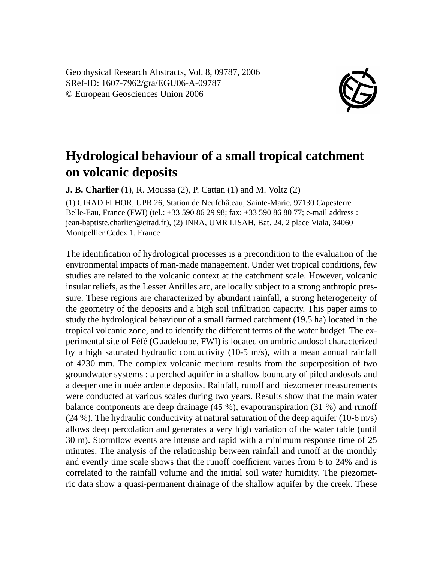Geophysical Research Abstracts, Vol. 8, 09787, 2006 SRef-ID: 1607-7962/gra/EGU06-A-09787 © European Geosciences Union 2006



## **Hydrological behaviour of a small tropical catchment on volcanic deposits**

**J. B. Charlier** (1), R. Moussa (2), P. Cattan (1) and M. Voltz (2)

(1) CIRAD FLHOR, UPR 26, Station de Neufchâteau, Sainte-Marie, 97130 Capesterre Belle-Eau, France (FWI) (tel.: +33 590 86 29 98; fax: +33 590 86 80 77; e-mail address : jean-baptiste.charlier@cirad.fr), (2) INRA, UMR LISAH, Bat. 24, 2 place Viala, 34060 Montpellier Cedex 1, France

The identification of hydrological processes is a precondition to the evaluation of the environmental impacts of man-made management. Under wet tropical conditions, few studies are related to the volcanic context at the catchment scale. However, volcanic insular reliefs, as the Lesser Antilles arc, are locally subject to a strong anthropic pressure. These regions are characterized by abundant rainfall, a strong heterogeneity of the geometry of the deposits and a high soil infiltration capacity. This paper aims to study the hydrological behaviour of a small farmed catchment (19.5 ha) located in the tropical volcanic zone, and to identify the different terms of the water budget. The experimental site of Féfé (Guadeloupe, FWI) is located on umbric andosol characterized by a high saturated hydraulic conductivity  $(10-5 \text{ m/s})$ , with a mean annual rainfall of 4230 mm. The complex volcanic medium results from the superposition of two groundwater systems : a perched aquifer in a shallow boundary of piled andosols and a deeper one in nuée ardente deposits. Rainfall, runoff and piezometer measurements were conducted at various scales during two years. Results show that the main water balance components are deep drainage (45 %), evapotranspiration (31 %) and runoff (24 %). The hydraulic conductivity at natural saturation of the deep aquifer (10-6 m/s) allows deep percolation and generates a very high variation of the water table (until 30 m). Stormflow events are intense and rapid with a minimum response time of 25 minutes. The analysis of the relationship between rainfall and runoff at the monthly and evently time scale shows that the runoff coefficient varies from 6 to 24% and is correlated to the rainfall volume and the initial soil water humidity. The piezometric data show a quasi-permanent drainage of the shallow aquifer by the creek. These